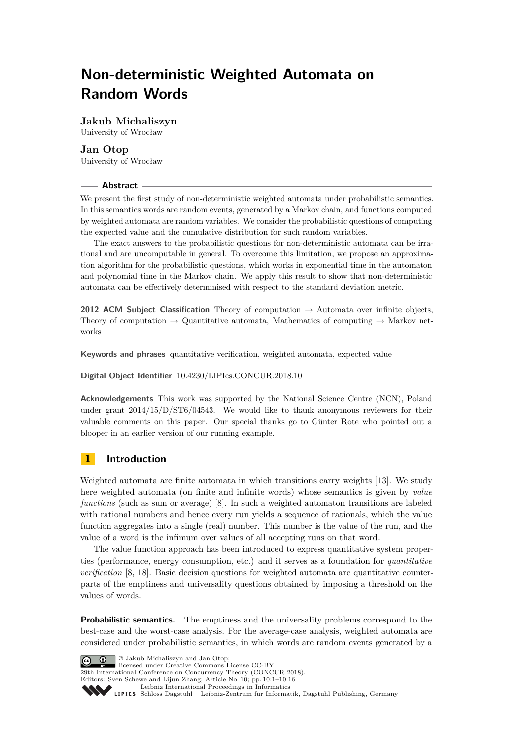# **Non-deterministic Weighted Automata on Random Words**

**Jakub Michaliszyn** University of Wrocław

**Jan Otop** University of Wrocław

## **Abstract**

We present the first study of non-deterministic weighted automata under probabilistic semantics. In this semantics words are random events, generated by a Markov chain, and functions computed by weighted automata are random variables. We consider the probabilistic questions of computing the expected value and the cumulative distribution for such random variables.

The exact answers to the probabilistic questions for non-deterministic automata can be irrational and are uncomputable in general. To overcome this limitation, we propose an approximation algorithm for the probabilistic questions, which works in exponential time in the automaton and polynomial time in the Markov chain. We apply this result to show that non-deterministic automata can be effectively determinised with respect to the standard deviation metric.

**2012 ACM Subject Classification** Theory of computation → Automata over infinite objects, Theory of computation  $\rightarrow$  Quantitative automata, Mathematics of computing  $\rightarrow$  Markov networks

**Keywords and phrases** quantitative verification, weighted automata, expected value

#### **Digital Object Identifier** [10.4230/LIPIcs.CONCUR.2018.10](http://dx.doi.org/10.4230/LIPIcs.CONCUR.2018.10)

**Acknowledgements** This work was supported by the National Science Centre (NCN), Poland under grant 2014/15/D/ST6/04543. We would like to thank anonymous reviewers for their valuable comments on this paper. Our special thanks go to Günter Rote who pointed out a blooper in an earlier version of our running example.

# **1 Introduction**

Weighted automata are finite automata in which transitions carry weights [\[13\]](#page-14-0). We study here weighted automata (on finite and infinite words) whose semantics is given by *value functions* (such as sum or average) [\[8\]](#page-14-1). In such a weighted automaton transitions are labeled with rational numbers and hence every run yields a sequence of rationals, which the value function aggregates into a single (real) number. This number is the value of the run, and the value of a word is the infimum over values of all accepting runs on that word.

The value function approach has been introduced to express quantitative system properties (performance, energy consumption, etc.) and it serves as a foundation for *quantitative verification* [\[8,](#page-14-1) [18\]](#page-15-0). Basic decision questions for weighted automata are quantitative counterparts of the emptiness and universality questions obtained by imposing a threshold on the values of words.

**Probabilistic semantics.** The emptiness and the universality problems correspond to the best-case and the worst-case analysis. For the average-case analysis, weighted automata are considered under probabilistic semantics, in which words are random events generated by a

© Jakub Michaliszyn and Jan Otop;  $\boxed{6}$  0 **29th International Conference on Concurrency Theory (CONCUR 2018).** Editors: Sven Schewe and Lijun Zhang; Article No. 10; pp. 10:1–10[:16](#page-15-1) [Leibniz International Proceedings in Informatics](http://www.dagstuhl.de/lipics/) [Schloss Dagstuhl – Leibniz-Zentrum für Informatik, Dagstuhl Publishing, Germany](http://www.dagstuhl.de)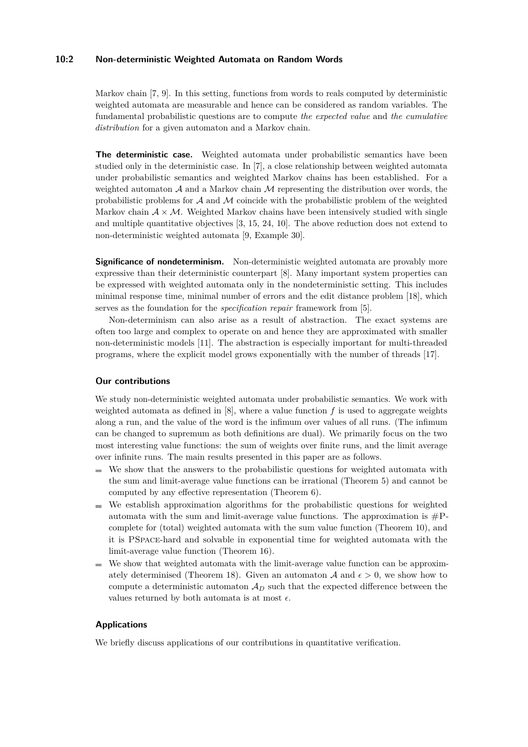## **10:2 Non-deterministic Weighted Automata on Random Words**

Markov chain [\[7,](#page-14-2) [9\]](#page-14-3). In this setting, functions from words to reals computed by deterministic weighted automata are measurable and hence can be considered as random variables. The fundamental probabilistic questions are to compute *the expected value* and *the cumulative distribution* for a given automaton and a Markov chain.

**The deterministic case.** Weighted automata under probabilistic semantics have been studied only in the deterministic case. In [\[7\]](#page-14-2), a close relationship between weighted automata under probabilistic semantics and weighted Markov chains has been established. For a weighted automaton  $A$  and a Markov chain  $M$  representing the distribution over words, the probabilistic problems for  $A$  and  $M$  coincide with the probabilistic problem of the weighted Markov chain  $A \times M$ . Weighted Markov chains have been intensively studied with single and multiple quantitative objectives [\[3,](#page-14-4) [15,](#page-15-2) [24,](#page-15-3) [10\]](#page-14-5). The above reduction does not extend to non-deterministic weighted automata [\[9,](#page-14-3) Example 30].

**Significance of nondeterminism.** Non-deterministic weighted automata are provably more expressive than their deterministic counterpart [\[8\]](#page-14-1). Many important system properties can be expressed with weighted automata only in the nondeterministic setting. This includes minimal response time, minimal number of errors and the edit distance problem [\[18\]](#page-15-0), which serves as the foundation for the *specification repair* framework from [\[5\]](#page-14-6).

Non-determinism can also arise as a result of abstraction. The exact systems are often too large and complex to operate on and hence they are approximated with smaller non-deterministic models [\[11\]](#page-14-7). The abstraction is especially important for multi-threaded programs, where the explicit model grows exponentially with the number of threads [\[17\]](#page-15-4).

#### **Our contributions**

We study non-deterministic weighted automata under probabilistic semantics. We work with weighted automata as defined in  $[8]$ , where a value function  $f$  is used to aggregate weights along a run, and the value of the word is the infimum over values of all runs. (The infimum can be changed to supremum as both definitions are dual). We primarily focus on the two most interesting value functions: the sum of weights over finite runs, and the limit average over infinite runs. The main results presented in this paper are as follows.

- $\blacksquare$  We show that the answers to the probabilistic questions for weighted automata with the sum and limit-average value functions can be irrational (Theorem [5\)](#page-8-0) and cannot be computed by any effective representation (Theorem [6\)](#page-9-0).
- We establish approximation algorithms for the probabilistic questions for weighted automata with the sum and limit-average value functions. The approximation is  $\#P$ complete for (total) weighted automata with the sum value function (Theorem [10\)](#page-10-0), and it is PSpace-hard and solvable in exponential time for weighted automata with the limit-average value function (Theorem [16\)](#page-13-0).
- We show that weighted automata with the limit-average value function can be approxim-ately determinised (Theorem [18\)](#page-14-8). Given an automaton A and  $\epsilon > 0$ , we show how to compute a deterministic automaton A*<sup>D</sup>* such that the expected difference between the values returned by both automata is at most  $\epsilon$ .

## **Applications**

We briefly discuss applications of our contributions in quantitative verification.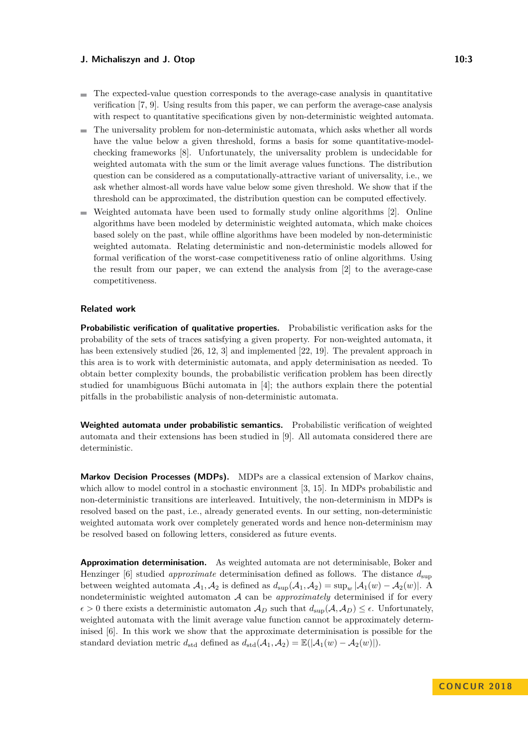- $\blacksquare$  The expected-value question corresponds to the average-case analysis in quantitative verification [\[7,](#page-14-2) [9\]](#page-14-3). Using results from this paper, we can perform the average-case analysis with respect to quantitative specifications given by non-deterministic weighted automata.
- The universality problem for non-deterministic automata, which asks whether all words ÷. have the value below a given threshold, forms a basis for some quantitative-modelchecking frameworks [\[8\]](#page-14-1). Unfortunately, the universality problem is undecidable for weighted automata with the sum or the limit average values functions. The distribution question can be considered as a computationally-attractive variant of universality, i.e., we ask whether almost-all words have value below some given threshold. We show that if the threshold can be approximated, the distribution question can be computed effectively.
- Weighted automata have been used to formally study online algorithms [\[2\]](#page-14-9). Online algorithms have been modeled by deterministic weighted automata, which make choices based solely on the past, while offline algorithms have been modeled by non-deterministic weighted automata. Relating deterministic and non-deterministic models allowed for formal verification of the worst-case competitiveness ratio of online algorithms. Using the result from our paper, we can extend the analysis from [\[2\]](#page-14-9) to the average-case competitiveness.

## **Related work**

**Probabilistic verification of qualitative properties.** Probabilistic verification asks for the probability of the sets of traces satisfying a given property. For non-weighted automata, it has been extensively studied [\[26,](#page-15-5) [12,](#page-14-10) [3\]](#page-14-4) and implemented [\[22,](#page-15-6) [19\]](#page-15-7). The prevalent approach in this area is to work with deterministic automata, and apply determinisation as needed. To obtain better complexity bounds, the probabilistic verification problem has been directly studied for unambiguous Büchi automata in [\[4\]](#page-14-11); the authors explain there the potential pitfalls in the probabilistic analysis of non-deterministic automata.

**Weighted automata under probabilistic semantics.** Probabilistic verification of weighted automata and their extensions has been studied in [\[9\]](#page-14-3). All automata considered there are deterministic.

**Markov Decision Processes (MDPs).** MDPs are a classical extension of Markov chains, which allow to model control in a stochastic environment [\[3,](#page-14-4) [15\]](#page-15-2). In MDPs probabilistic and non-deterministic transitions are interleaved. Intuitively, the non-determinism in MDPs is resolved based on the past, i.e., already generated events. In our setting, non-deterministic weighted automata work over completely generated words and hence non-determinism may be resolved based on following letters, considered as future events.

**Approximation determinisation.** As weighted automata are not determinisable, Boker and Henzinger [\[6\]](#page-14-12) studied *approximate* determinisation defined as follows. The distance *d*sup between weighted automata  $A_1$ ,  $A_2$  is defined as  $d_{\text{sup}}(A_1, A_2) = \sup_w |A_1(w) - A_2(w)|$ . A nondeterministic weighted automaton A can be *approximately* determinised if for every  $\epsilon > 0$  there exists a deterministic automaton  $\mathcal{A}_D$  such that  $d_{\text{sup}}(\mathcal{A}, \mathcal{A}_D) \leq \epsilon$ . Unfortunately, weighted automata with the limit average value function cannot be approximately determinised [\[6\]](#page-14-12). In this work we show that the approximate determinisation is possible for the standard deviation metric  $d_{std}$  defined as  $d_{std}(\mathcal{A}_1, \mathcal{A}_2) = \mathbb{E}(|\mathcal{A}_1(w) - \mathcal{A}_2(w)|).$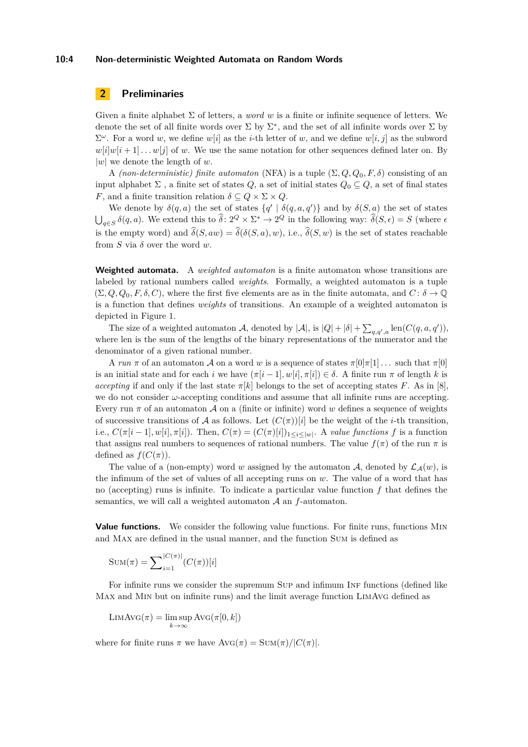#### **10:4 Non-deterministic Weighted Automata on Random Words**

# **2 Preliminaries**

Given a finite alphabet  $\Sigma$  of letters, a *word w* is a finite or infinite sequence of letters. We denote the set of all finite words over  $\Sigma$  by  $\Sigma^*$ , and the set of all infinite words over  $\Sigma$  by  $\Sigma^{\omega}$ . For a word *w*, we define *w*[*i*] as the *i*-th letter of *w*, and we define *w*[*i*, *j*] as the subword  $w[i]w[i+1] \dots w[j]$  of *w*. We use the same notation for other sequences defined later on. By |*w*| we denote the length of *w*.

A *(non-deterministic) finite automaton* (NFA) is a tuple  $(\Sigma, Q, Q_0, F, \delta)$  consisting of an input alphabet  $\Sigma$ , a finite set of states  $Q$ , a set of initial states  $Q_0 \subseteq Q$ , a set of final states *F*, and a finite transition relation  $\delta \subseteq Q \times \Sigma \times Q$ .

We denote by  $\delta(q, a)$  the set of states  $\{q' \mid \delta(q, a, q')\}$  and by  $\delta(S, a)$  the set of states  $\bigcup_{q \in S} \delta(q, a)$ . We extend this to  $\hat{\delta} : 2^Q \times \Sigma^* \to 2^Q$  in the following way:  $\hat{\delta}(S, \epsilon) = S$  (where  $\epsilon$ is the empty word) and  $\hat{\delta}(S, aw) = \hat{\delta}(\delta(S, a), w)$ , i.e.,  $\hat{\delta}(S, w)$  is the set of states reachable from *S* via *δ* over the word *w*.

**Weighted automata.** A *weighted automaton* is a finite automaton whose transitions are labeled by rational numbers called *weights*. Formally, a weighted automaton is a tuple  $(\Sigma, Q, Q_0, F, \delta, C)$ , where the first five elements are as in the finite automata, and  $C: \delta \to \mathbb{Q}$ is a function that defines *weights* of transitions. An example of a weighted automaton is depicted in Figure [1.](#page-5-0)

The size of a weighted automaton A, denoted by  $|\mathcal{A}|$ , is  $|Q| + |\delta| + \sum_{q,q',a} \text{len}(C(q, a, q'))$ , where len is the sum of the lengths of the binary representations of the numerator and the denominator of a given rational number.

A *run*  $\pi$  of an automaton A on a word *w* is a sequence of states  $\pi[0]\pi[1]$   $\dots$  such that  $\pi[0]$ is an initial state and for each *i* we have  $(\pi[i-1], w[i], \pi[i]) \in \delta$ . A finite run  $\pi$  of length *k* is *accepting* if and only if the last state  $\pi[k]$  belongs to the set of accepting states *F*. As in [\[8\]](#page-14-1), we do not consider *ω*-accepting conditions and assume that all infinite runs are accepting. Every run  $\pi$  of an automaton  $\mathcal A$  on a (finite or infinite) word  $w$  defines a sequence of weights of successive transitions of A as follows. Let  $(C(\pi))[i]$  be the weight of the *i*-th transition, i.e.,  $C(\pi[i-1], w[i], \pi[i])$ . Then,  $C(\pi) = (C(\pi)[i])_{1 \leq i \leq |w|}$ . A *value functions* f is a function that assigns real numbers to sequences of rational numbers. The value  $f(\pi)$  of the run  $\pi$  is defined as  $f(C(\pi))$ .

The value of a (non-empty) word *w* assigned by the automaton A, denoted by  $\mathcal{L}_{\mathcal{A}}(w)$ , is the infimum of the set of values of all accepting runs on *w*. The value of a word that has no (accepting) runs is infinite. To indicate a particular value function *f* that defines the semantics, we will call a weighted automaton A an *f*-automaton.

**Value functions.** We consider the following value functions. For finite runs, functions Min and Max are defined in the usual manner, and the function Sum is defined as

$$
Sum(\pi) = \sum_{i=1}^{|C(\pi)|} (C(\pi))[i]
$$

For infinite runs we consider the supremum SUP and infimum INF functions (defined like Max and Min but on infinite runs) and the limit average function LimAvg defined as

$$
\mathrm{LIMAVG}(\pi) = \limsup_{k \to \infty} \mathrm{AVG}(\pi[0, k])
$$

where for finite runs  $\pi$  we have  $\text{Avg}(\pi) = \text{SUM}(\pi)/|C(\pi)|$ .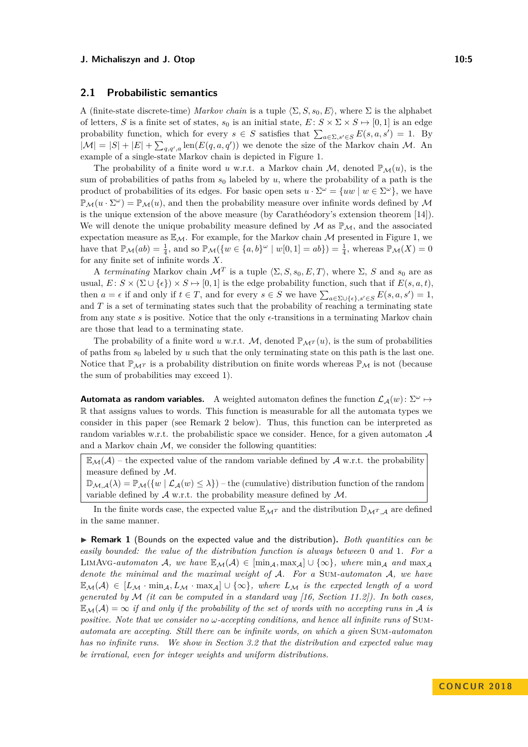## **2.1 Probabilistic semantics**

A (finite-state discrete-time) *Markov chain* is a tuple  $\langle \Sigma, S, s_0, E \rangle$ , where  $\Sigma$  is the alphabet of letters, *S* is a finite set of states,  $s_0$  is an initial state,  $E: S \times \Sigma \times S \mapsto [0, 1]$  is an edge probability function, which for every  $s \in S$  satisfies that  $\sum_{a \in \Sigma, s' \in S} E(s, a, s') = 1$ . By  $|\mathcal{M}| = |S| + |E| + \sum_{q,q',a} \text{len}(E(q,a,q'))$  we denote the size of the Markov chain M. An example of a single-state Markov chain is depicted in Figure [1.](#page-5-0)

The probability of a finite word *u* w.r.t. a Markov chain M, denoted  $\mathbb{P}_{\mathcal{M}}(u)$ , is the sum of probabilities of paths from *s*<sup>0</sup> labeled by *u*, where the probability of a path is the product of probabilities of its edges. For basic open sets  $u \cdot \Sigma^{\omega} = \{uw \mid w \in \Sigma^{\omega}\}\$ , we have  $\mathbb{P}_\mathcal{M}(u \cdot \Sigma^\omega) = \mathbb{P}_\mathcal{M}(u)$ , and then the probability measure over infinite words defined by  $\mathcal M$ is the unique extension of the above measure (by Carathéodory's extension theorem [\[14\]](#page-14-13)). We will denote the unique probability measure defined by  $\mathcal M$  as  $\mathbb P_{\mathcal M}$ , and the associated expectation measure as  $\mathbb{E}_{\mathcal{M}}$ . For example, for the Markov chain M presented in Figure [1,](#page-5-0) we have that  $\mathbb{P}_{\mathcal{M}}(ab) = \frac{1}{4}$ , and so  $\mathbb{P}_{\mathcal{M}}(\{w \in \{a,b\}^\omega \mid w[0,1] = ab\}) = \frac{1}{4}$ , whereas  $\mathbb{P}_{\mathcal{M}}(X) = 0$ for any finite set of infinite words *X*.

A *terminating* Markov chain  $\mathcal{M}^T$  is a tuple  $\langle \Sigma, S, s_0, E, T \rangle$ , where  $\Sigma$ , *S* and  $s_0$  are as usual,  $E: S \times (\Sigma \cup \{\epsilon\}) \times S \mapsto [0, 1]$  is the edge probability function, such that if  $E(s, a, t)$ , then  $a = \epsilon$  if and only if  $t \in T$ , and for every  $s \in S$  we have  $\sum_{a \in \Sigma \cup \{\epsilon\}, s' \in S} E(s, a, s') = 1$ , and *T* is a set of terminating states such that the probability of reaching a terminating state from any state  $s$  is positive. Notice that the only  $\epsilon$ -transitions in a terminating Markov chain are those that lead to a terminating state.

The probability of a finite word *u* w.r.t. M, denoted  $\mathbb{P}_{\mathcal{M}^T}(u)$ , is the sum of probabilities of paths from *s*<sup>0</sup> labeled by *u* such that the only terminating state on this path is the last one. Notice that  $\mathbb{P}_{M}$ <sup>*r*</sup> is a probability distribution on finite words whereas  $\mathbb{P}_{M}$  is not (because the sum of probabilities may exceed 1).

**Automata as random variables.** A weighted automaton defines the function  $\mathcal{L}_{\mathcal{A}}(w)$ :  $\Sigma^{\omega} \mapsto$ R that assigns values to words. This function is measurable for all the automata types we consider in this paper (see Remark [2](#page-5-1) below). Thus, this function can be interpreted as random variables w.r.t. the probabilistic space we consider. Hence, for a given automaton  $A$ and a Markov chain  $M$ , we consider the following quantities:

 $\mathbb{E}_{\mathcal{M}}(\mathcal{A})$  – the expected value of the random variable defined by  $\mathcal{A}$  w.r.t. the probability measure defined by M.

 $\mathbb{D}_{\mathcal{M},\mathcal{A}}(\lambda) = \mathbb{P}_{\mathcal{M}}(\{w \mid \mathcal{L}_{\mathcal{A}}(w) \leq \lambda\})$  – the (cumulative) distribution function of the random variable defined by  $\mathcal A$  w.r.t. the probability measure defined by  $\mathcal M$ .

In the finite words case, the expected value  $\mathbb{E}_{\mathcal{M}^T}$  and the distribution  $\mathbb{D}_{\mathcal{M}^T,A}$  are defined in the same manner.

I **Remark 1** (Bounds on the expected value and the distribution)**.** *Both quantities can be easily bounded: the value of the distribution function is always between* 0 *and* 1*. For a* LIMAVG-automaton A, we have  $\mathbb{E}_{\mathcal{M}}(\mathcal{A}) \in [\min_{\mathcal{A}}, \max_{\mathcal{A}}] \cup {\infty}$ , where  $\min_{\mathcal{A}}$  and  $\max_{\mathcal{A}}$ *denote the minimal and the maximal weight of* A*. For a* Sum*-automaton* A*, we have*  $\mathbb{E}_{\mathcal{M}}(\mathcal{A}) \in [L_{\mathcal{M}} \cdot \min_{\mathcal{A}}] \cup \{\infty\},$  where  $L_{\mathcal{M}}$  is the expected length of a word *generated by* M *(it can be computed in a standard way [\[16,](#page-15-8) Section 11.2]). In both cases,*  $\mathbb{E}_{\mathcal{M}}(\mathcal{A}) = \infty$  *if and only if the probability of the set of words with no accepting runs in* A *is positive. Note that we consider no ω-accepting conditions, and hence all infinite runs of* Sum*automata are accepting. Still there can be infinite words, on which a given* Sum*-automaton has no infinite runs. We show in Section [3.2](#page-7-0) that the distribution and expected value may be irrational, even for integer weights and uniform distributions.*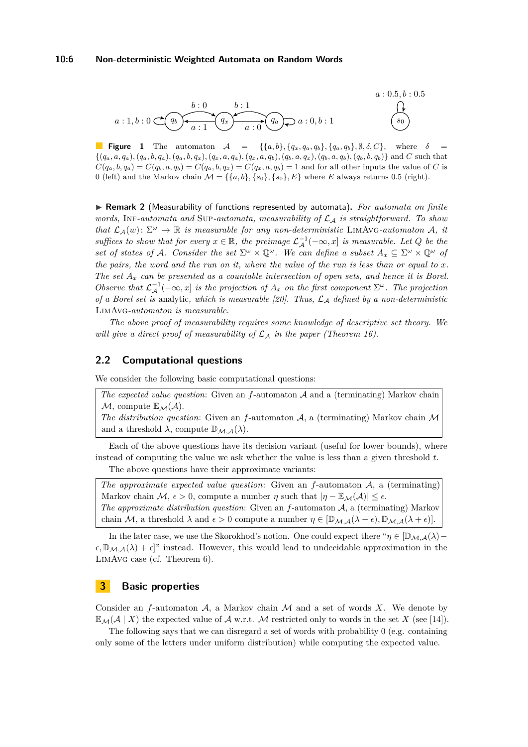<span id="page-5-0"></span>

**Figure 1** The automaton  $A = \{ \{a, b\}, \{q_x, q_a, q_b\}, \{q_a, q_b\}, \emptyset, \delta, C \}$ , where  $\delta$  $\{(q_a, a, q_a), (q_a, b, q_a), (q_a, b, q_x), (q_x, a, q_a), (q_x, a, q_b), (q_b, a, q_x), (q_b, a, q_b), (q_b, b, q_b)\}\$ and C such that  $C(q_a, b, q_a) = C(q_b, a, q_b) = C(q_a, b, q_x) = C(q_x, a, q_b) = 1$  and for all other inputs the value of C is 0 (left) and the Markov chain  $\mathcal{M} = \{\{a, b\}, \{s_0\}, \{s_0\}, E\}$  where *E* always returns 0.5 (right).

<span id="page-5-1"></span>▶ Remark 2 (Measurability of functions represented by automata). For automata on finite *words,* Inf*-automata and* Sup*-automata, measurability of* L<sup>A</sup> *is straightforward. To show that*  $\mathcal{L}_{\mathcal{A}}(w)$ :  $\Sigma^{\omega} \mapsto \mathbb{R}$  *is measurable for any non-deterministic* LIMAVG-automaton A, *it suffices to show that for every*  $x \in \mathbb{R}$ *, the preimage*  $\mathcal{L}_{\mathcal{A}}^{-1}(-\infty, x]$  *is measurable. Let*  $Q$  *be the set of states of* A. Consider the set  $\Sigma^{\omega} \times \mathbb{Q}^{\omega}$ . We can define a subset  $A_x \subseteq \Sigma^{\omega} \times \mathbb{Q}^{\omega}$  of *the pairs, the word and the run on it, where the value of the run is less than or equal to x. The set A<sup>x</sup> can be presented as a countable intersection of open sets, and hence it is Borel. Observe that*  $\mathcal{L}_{\mathcal{A}}^{-1}(-\infty, x]$  *is the projection of*  $A_x$  *on the first component*  $\Sigma^\omega$ *. The projection of a Borel set is* analytic*, which is measurable [\[20\]](#page-15-9). Thus,* L<sup>A</sup> *defined by a non-deterministic* LimAvg*-automaton is measurable.*

*The above proof of measurability requires some knowledge of descriptive set theory. We will give a direct proof of measurability of*  $\mathcal{L}_A$  *in the paper (Theorem [16\)](#page-13-0).* 

## **2.2 Computational questions**

We consider the following basic computational questions:

*The expected value question*: Given an *f*-automaton A and a (terminating) Markov chain  $M$ , compute  $\mathbb{E}_{\mathcal{M}}(\mathcal{A})$ .

*The distribution question*: Given an *f*-automaton A, a (terminating) Markov chain M and a threshold  $\lambda$ , compute  $\mathbb{D}_{\mathcal{M},\mathcal{A}}(\lambda)$ .

Each of the above questions have its decision variant (useful for lower bounds), where instead of computing the value we ask whether the value is less than a given threshold *t*.

The above questions have their approximate variants:

*The approximate expected value question*: Given an *f*-automaton A, a (terminating) Markov chain  $M$ ,  $\epsilon > 0$ , compute a number  $\eta$  such that  $|\eta - \mathbb{E}_{M}(A)| \leq \epsilon$ . *The approximate distribution question*: Given an *f*-automaton A, a (terminating) Markov chain M, a threshold  $\lambda$  and  $\epsilon > 0$  compute a number  $\eta \in [\mathbb{D}_{\mathcal{M},\mathcal{A}}(\lambda - \epsilon), \mathbb{D}_{\mathcal{M},\mathcal{A}}(\lambda + \epsilon)].$ 

In the later case, we use the Skorokhod's notion. One could expect there " $\eta \in [\mathbb{D}_{\mathcal{M},\mathcal{A}}(\lambda) \epsilon, \mathbb{D}_{\mathcal{M},\mathcal{A}}(\lambda) + \epsilon$ <sup>"</sup> instead. However, this would lead to undecidable approximation in the LimAvg case (cf. Theorem [6\)](#page-9-0).

## **3 Basic properties**

Consider an  $f$ -automaton  $A$ , a Markov chain  $M$  and a set of words  $X$ . We denote by  $\mathbb{E}_{\mathcal{M}}(\mathcal{A} \mid X)$  the expected value of  $\mathcal{A}$  w.r.t. M restricted only to words in the set X (see [\[14\]](#page-14-13)).

The following says that we can disregard a set of words with probability 0 (e.g. containing only some of the letters under uniform distribution) while computing the expected value.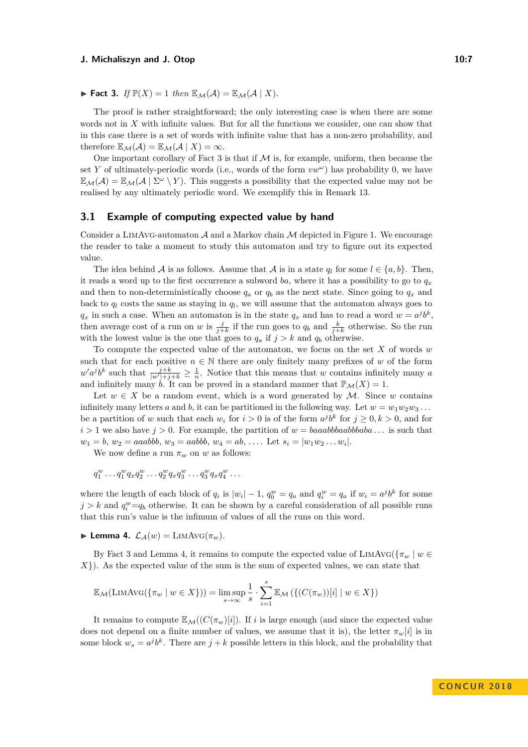<span id="page-6-0"></span>
$$
\blacktriangleright \text{Fact 3. If } \mathbb{P}(X) = 1 \text{ then } \mathbb{E}_{\mathcal{M}}(\mathcal{A}) = \mathbb{E}_{\mathcal{M}}(\mathcal{A} \mid X).
$$

The proof is rather straightforward; the only interesting case is when there are some words not in *X* with infinite values. But for all the functions we consider, one can show that in this case there is a set of words with infinite value that has a non-zero probability, and therefore  $\mathbb{E}_{\mathcal{M}}(\mathcal{A}) = \mathbb{E}_{\mathcal{M}}(\mathcal{A} \mid X) = \infty$ .

One important corollary of Fact [3](#page-6-0) is that if  $\mathcal M$  is, for example, uniform, then because the set *Y* of ultimately-periodic words (i.e., words of the form  $vw^{\omega}$ ) has probability 0, we have  $\mathbb{E}_{\mathcal{M}}(\mathcal{A}) = \mathbb{E}_{\mathcal{M}}(\mathcal{A} \mid \Sigma^{\omega} \setminus Y)$ . This suggests a possibility that the expected value may not be realised by any ultimately periodic word. We exemplify this in Remark [13.](#page-12-0)

#### **3.1 Example of computing expected value by hand**

Consider a LIMAVG-automaton  $A$  and a Markov chain  $M$  depicted in Figure [1.](#page-5-0) We encourage the reader to take a moment to study this automaton and try to figure out its expected value.

The idea behind A is as follows. Assume that A is in a state  $q_l$  for some  $l \in \{a, b\}$ . Then, it reads a word up to the first occurrence a subword *ba*, where it has a possibility to go to  $q_x$ and then to non-deterministically choose  $q_a$  or  $q_b$  as the next state. Since going to  $q_x$  and back to  $q_l$  costs the same as staying in  $q_l$ , we will assume that the automaton always goes to  $q_x$  in such a case. When an automaton is in the state  $q_x$  and has to read a word  $w = a^j b^k$ , then average cost of a run on *w* is  $\frac{j}{j+k}$  if the run goes to  $q_b$  and  $\frac{k}{j+k}$  otherwise. So the run with the lowest value is the one that goes to  $q_a$  if  $j > k$  and  $q_b$  otherwise.

To compute the expected value of the automaton, we focus on the set *X* of words *w* such that for each positive  $n \in \mathbb{N}$  there are only finitely many prefixes of *w* of the form  $w' a^j b^k$  such that  $\frac{j+k}{|w'|+j+k} \geq \frac{1}{n}$ . Notice that this means that *w* contains infinitely many *a* and infinitely many *b*. It can be proved in a standard manner that  $\mathbb{P}_M(X) = 1$ .

Let  $w \in X$  be a random event, which is a word generated by M. Since w contains infinitely many letters *a* and *b*, it can be partitioned in the following way. Let  $w = w_1 w_2 w_3 \ldots$ be a partition of *w* such that each  $w_i$  for  $i > 0$  is of the form  $a^j b^k$  for  $j \ge 0, k > 0$ , and for  $i > 1$  we also have  $j > 0$ . For example, the partition of  $w = baaabbaabbaba \dots$  is such that  $w_1 = b, w_2 = aaabbb, w_3 = aabbb, w_4 = ab, \ldots$  Let  $s_i = |w_1w_2 \ldots w_i|$ .

We now define a run  $\pi_w$  on *w* as follows:

$$
q_1^w \dots q_1^w q_x q_2^w \dots q_2^w q_x q_3^w \dots q_3^w q_x q_4^w \dots
$$

where the length of each block of  $q_i$  is  $|w_i| - 1$ ,  $q_0^w = q_a$  and  $q_i^w = q_a$  if  $w_i = a^j b^k$  for some  $j > k$  and  $q_i^w = q_b$  otherwise. It can be shown by a careful consideration of all possible runs that this run's value is the infimum of values of all the runs on this word.

<span id="page-6-1"></span>**I** Lemma 4.  $\mathcal{L}_{\mathcal{A}}(w) = \text{LIMAVG}(\pi_w)$ .

By Fact [3](#page-6-0) and Lemma [4,](#page-6-1) it remains to compute the expected value of LIMAVG( $\{\pi_w \mid w \in$ *X*}). As the expected value of the sum is the sum of expected values, we can state that

$$
\mathbb{E}_{\mathcal{M}}(\text{LimAvg}(\{\pi_w \mid w \in X\})) = \limsup_{s \to \infty} \frac{1}{s} \cdot \sum_{i=1}^s \mathbb{E}_{\mathcal{M}}(\{(C(\pi_w))[i] \mid w \in X\})
$$

It remains to compute  $\mathbb{E}_{\mathcal{M}}((C(\pi_w)[i])$ . If *i* is large enough (and since the expected value does not depend on a finite number of values, we assume that it is), the letter  $\pi_w[i]$  is in some block  $w_s = a^j b^k$ . There are  $j + k$  possible letters in this block, and the probability that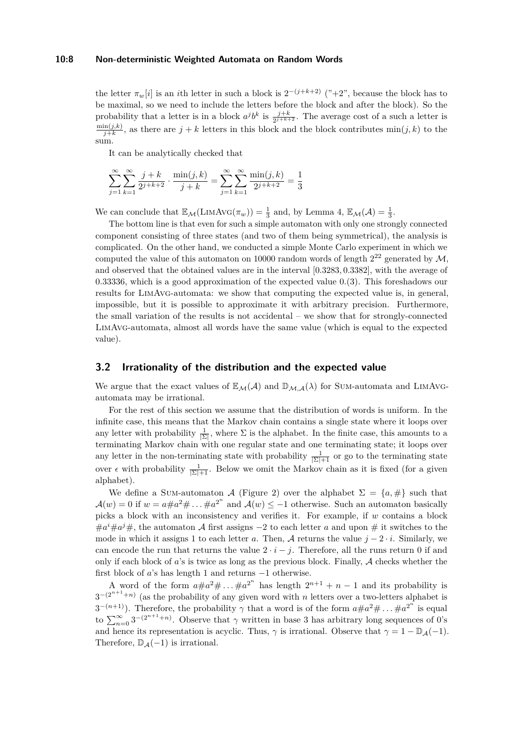#### **10:8 Non-deterministic Weighted Automata on Random Words**

the letter  $\pi_w[i]$  is an *i*th letter in such a block is  $2^{-(j+k+2)}$  ("+2", because the block has to be maximal, so we need to include the letters before the block and after the block). So the probability that a letter is in a block  $a^j b^k$  is  $\frac{j+k}{2^{j+k+2}}$ . The average cost of a such a letter is  $\min(j,k)$  $\frac{\ln(j,k)}{j+k}$ , as there are  $j+k$  letters in this block and the block contributes min $(j,k)$  to the sum.

It can be analytically checked that

$$
\sum_{j=1}^{\infty} \sum_{k=1}^{\infty} \frac{j+k}{2^{j+k+2}} \cdot \frac{\min(j,k)}{j+k} = \sum_{j=1}^{\infty} \sum_{k=1}^{\infty} \frac{\min(j,k)}{2^{j+k+2}} = \frac{1}{3}
$$

We can conclude that  $\mathbb{E}_{\mathcal{M}}(\text{LIMAVG}(\pi_w)) = \frac{1}{3}$  and, by Lemma [4,](#page-6-1)  $\mathbb{E}_{\mathcal{M}}(\mathcal{A}) = \frac{1}{3}$ .

The bottom line is that even for such a simple automaton with only one strongly connected component consisting of three states (and two of them being symmetrical), the analysis is complicated. On the other hand, we conducted a simple Monte Carlo experiment in which we computed the value of this automaton on 10000 random words of length  $2^{22}$  generated by  $\mathcal{M}$ , and observed that the obtained values are in the interval [0*.*3283*,* 0*.*3382], with the average of 0*.*33336, which is a good approximation of the expected value 0*.*(3). This foreshadows our results for LimAvg-automata: we show that computing the expected value is, in general, impossible, but it is possible to approximate it with arbitrary precision. Furthermore, the small variation of the results is not accidental – we show that for strongly-connected LimAvg-automata, almost all words have the same value (which is equal to the expected value).

## <span id="page-7-0"></span>**3.2 Irrationality of the distribution and the expected value**

We argue that the exact values of  $\mathbb{E}_{\mathcal{M}}(\mathcal{A})$  and  $\mathbb{D}_{\mathcal{M},\mathcal{A}}(\lambda)$  for SUM-automata and LIMAVGautomata may be irrational.

For the rest of this section we assume that the distribution of words is uniform. In the infinite case, this means that the Markov chain contains a single state where it loops over any letter with probability  $\frac{1}{|\Sigma|}$ , where  $\Sigma$  is the alphabet. In the finite case, this amounts to a terminating Markov chain with one regular state and one terminating state; it loops over any letter in the non-terminating state with probability  $\frac{1}{|\Sigma|+1}$  or go to the terminating state over  $\epsilon$  with probability  $\frac{1}{|\Sigma|+1}$ . Below we omit the Markov chain as it is fixed (for a given alphabet).

We define a Sum-automaton A (Figure [2\)](#page-8-1) over the alphabet  $\Sigma = \{a, \# \}$  such that  $\mathcal{A}(w) = 0$  if  $w = a \# a^2 \# \dots \# a^{2^n}$  and  $\mathcal{A}(w) \leq -1$  otherwise. Such an automaton basically picks a block with an inconsistency and verifies it. For example, if *w* contains a block  $\#a^i\#a^j\#$ , the automaton A first assigns  $-2$  to each letter *a* and upon  $\#$  it switches to the mode in which it assigns 1 to each letter *a*. Then, A returns the value  $j - 2 \cdot i$ . Similarly, we can encode the run that returns the value  $2 \cdot i - j$ . Therefore, all the runs return 0 if and only if each block of *a*'s is twice as long as the previous block. Finally, A checks whether the first block of *a*'s has length 1 and returns −1 otherwise.

A word of the form  $a \# a^2 \# \dots \# a^{2^n}$  has length  $2^{n+1} + n - 1$  and its probability is  $3^{-(2^{n+1}+n)}$  (as the probability of any given word with *n* letters over a two-letters alphabet is  $3^{-(n+1)}$ ). Therefore, the probability  $\gamma$  that a word is of the form  $a \# a^2 \# \dots \# a^{2^n}$  is equal to  $\sum_{n=0}^{\infty} 3^{-(2^{n+1}+n)}$ . Observe that  $\gamma$  written in base 3 has arbitrary long sequences of 0's and hence its representation is acyclic. Thus,  $\gamma$  is irrational. Observe that  $\gamma = 1 - \mathbb{D}_{\mathcal{A}}(-1)$ . Therefore,  $\mathbb{D}_{\mathcal{A}}(-1)$  is irrational.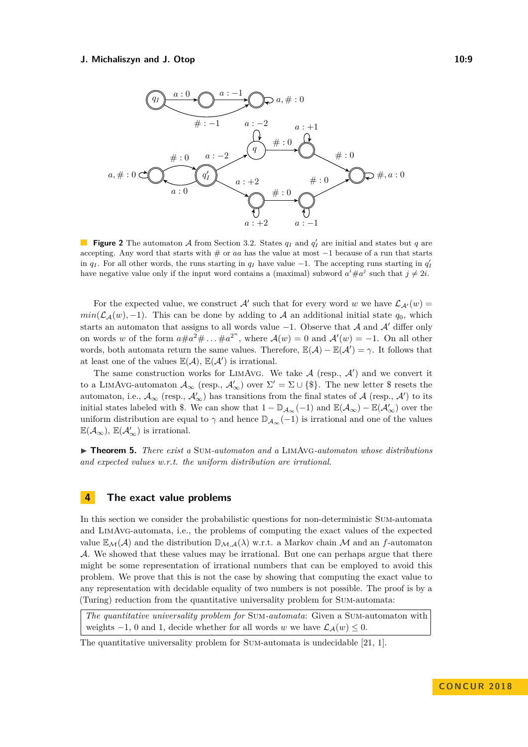<span id="page-8-1"></span>

**Figure 2** The automaton A from Section [3.2.](#page-7-0) States  $q_I$  and  $q'_I$  are initial and states but  $q$  are accepting. Any word that starts with # or *aa* has the value at most −1 because of a run that starts in  $q_I$ . For all other words, the runs starting in  $q_I$  have value  $-1$ . The accepting runs starting in  $q_I'$ have negative value only if the input word contains a (maximal) subword  $a^i \# a^j$  such that  $j \neq 2i$ .

For the expected value, we construct  $\mathcal{A}'$  such that for every word *w* we have  $\mathcal{L}_{\mathcal{A}'}(w) =$  $min(\mathcal{L}_{\mathcal{A}}(w), -1)$ . This can be done by adding to A an additional initial state  $q_0$ , which starts an automaton that assigns to all words value  $-1$ . Observe that A and A' differ only on words *w* of the form  $a \# a^2 \# \dots \# a^{2^n}$ , where  $\mathcal{A}(w) = 0$  and  $\mathcal{A}'(w) = -1$ . On all other words, both automata return the same values. Therefore,  $\mathbb{E}(\mathcal{A}) - \mathbb{E}(\mathcal{A}') = \gamma$ . It follows that at least one of the values  $\mathbb{E}(\mathcal{A}), \mathbb{E}(\mathcal{A}')$  is irrational.

The same construction works for LIMAVG. We take  $A$  (resp.,  $A'$ ) and we convert it to a LIMAVG-automaton  $\mathcal{A}_{\infty}$  (resp.,  $\mathcal{A}'_{\infty}$ ) over  $\Sigma' = \Sigma \cup \{\$\}.$  The new letter \$ resets the automaton, i.e.,  $\mathcal{A}_{\infty}$  (resp.,  $\mathcal{A}'_{\infty}$ ) has transitions from the final states of  $\mathcal{A}$  (resp.,  $\mathcal{A}'$ ) to its initial states labeled with \$. We can show that  $1 - \mathbb{D}_{\mathcal{A}_{\infty}}(-1)$  and  $\mathbb{E}(\mathcal{A}_{\infty}) - \mathbb{E}(\mathcal{A}_{\infty}')$  over the uniform distribution are equal to  $\gamma$  and hence  $\mathbb{D}_{\mathcal{A}_{\infty}}(-1)$  is irrational and one of the values  $\mathbb{E}(\mathcal{A}_{\infty})$ ,  $\mathbb{E}(\mathcal{A}'_{\infty})$  is irrational.

<span id="page-8-0"></span>I **Theorem 5.** *There exist a* Sum*-automaton and a* LimAvg*-automaton whose distributions and expected values w.r.t. the uniform distribution are irrational.*

## **4 The exact value problems**

In this section we consider the probabilistic questions for non-deterministic Sum-automata and LimAvg-automata, i.e., the problems of computing the exact values of the expected value  $\mathbb{E}_{\mathcal{M}}(\mathcal{A})$  and the distribution  $\mathbb{D}_{\mathcal{M},\mathcal{A}}(\lambda)$  w.r.t. a Markov chain M and an *f*-automaton A. We showed that these values may be irrational. But one can perhaps argue that there might be some representation of irrational numbers that can be employed to avoid this problem. We prove that this is not the case by showing that computing the exact value to any representation with decidable equality of two numbers is not possible. The proof is by a (Turing) reduction from the quantitative universality problem for Sum-automata:

*The quantitative universality problem for* Sum*-automata*: Given a Sum-automaton with weights  $-1$ , 0 and 1, decide whether for all words *w* we have  $\mathcal{L}_4(w) \leq 0$ .

The quantitative universality problem for Sum-automata is undecidable [\[21,](#page-15-10) [1\]](#page-14-14).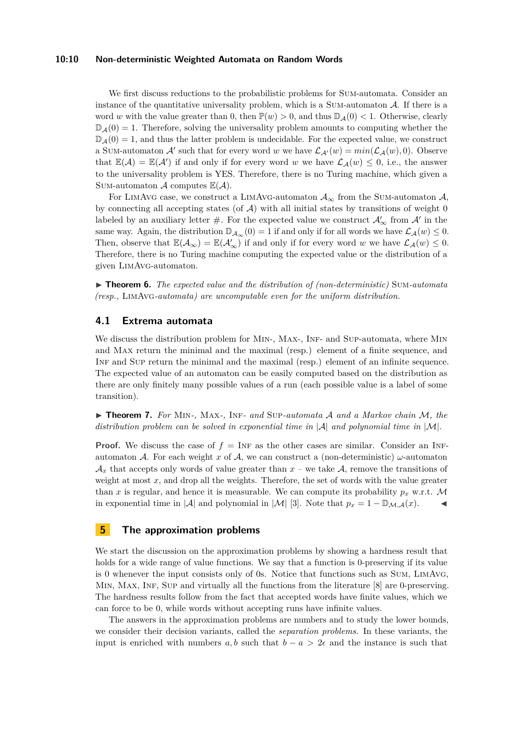#### **10:10 Non-deterministic Weighted Automata on Random Words**

We first discuss reductions to the probabilistic problems for SUM-automata. Consider an instance of the quantitative universality problem, which is a SUM-automaton  $A$ . If there is a word *w* with the value greater than 0, then  $\mathbb{P}(w) > 0$ , and thus  $\mathbb{D}_A(0) < 1$ . Otherwise, clearly  $\mathbb{D}_{\mathcal{A}}(0) = 1$ . Therefore, solving the universality problem amounts to computing whether the  $\mathbb{D}_A(0) = 1$ , and thus the latter problem is undecidable. For the expected value, we construct a SUM-automaton  $\mathcal{A}'$  such that for every word *w* we have  $\mathcal{L}_{\mathcal{A}'}(w) = min(\mathcal{L}_{\mathcal{A}}(w), 0)$ . Observe that  $\mathbb{E}(\mathcal{A}) = \mathbb{E}(\mathcal{A}')$  if and only if for every word *w* we have  $\mathcal{L}_{\mathcal{A}}(w) \leq 0$ , i.e., the answer to the universality problem is YES. Therefore, there is no Turing machine, which given a SUM-automaton  $\mathcal A$  computes  $\mathbb E(\mathcal A)$ .

For LIMAVG case, we construct a LIMAVG-automaton  $\mathcal{A}_{\infty}$  from the SUM-automaton  $\mathcal{A}_{\infty}$ by connecting all accepting states (of  $A$ ) with all initial states by transitions of weight 0 labeled by an auxiliary letter  $\#$ . For the expected value we construct  $\mathcal{A}'_{\infty}$  from  $\mathcal{A}'$  in the same way. Again, the distribution  $\mathbb{D}_{\mathcal{A}_{\infty}}(0) = 1$  if and only if for all words we have  $\mathcal{L}_{\mathcal{A}}(w) \leq 0$ . Then, observe that  $\mathbb{E}(\mathcal{A}_{\infty}) = \mathbb{E}(\mathcal{A}'_{\infty})$  if and only if for every word *w* we have  $\mathcal{L}_{\mathcal{A}}(w) \leq 0$ . Therefore, there is no Turing machine computing the expected value or the distribution of a given LimAvg-automaton.

<span id="page-9-0"></span>I **Theorem 6.** *The expected value and the distribution of (non-deterministic)* Sum*-automata (resp.,* LimAvg*-automata) are uncomputable even for the uniform distribution.*

## **4.1 Extrema automata**

We discuss the distribution problem for MIN-, MAX-, INF- and SUP-automata, where MIN and Max return the minimal and the maximal (resp.) element of a finite sequence, and Inf and Sup return the minimal and the maximal (resp.) element of an infinite sequence. The expected value of an automaton can be easily computed based on the distribution as there are only finitely many possible values of a run (each possible value is a label of some transition).

I **Theorem 7.** *For* Min*-,* Max*-,* Inf*- and* Sup*-automata* A *and a Markov chain* M*, the distribution problem can be solved in exponential time in* |A| *and polynomial time in* |M|*.*

**Proof.** We discuss the case of  $f = \text{INF}$  as the other cases are similar. Consider an INFautomaton A. For each weight *x* of A, we can construct a (non-deterministic)  $\omega$ -automaton  $\mathcal{A}_x$  that accepts only words of value greater than  $x$  – we take  $\mathcal{A}$ , remove the transitions of weight at most x, and drop all the weights. Therefore, the set of words with the value greater than *x* is regular, and hence it is measurable. We can compute its probability  $p_x$  w.r.t. M in exponential time in  $|\mathcal{A}|$  and polynomial in  $|\mathcal{M}|$  [\[3\]](#page-14-4). Note that  $p_x = 1 - \mathbb{D}_{\mathcal{M},\mathcal{A}}(x)$ .

# **5 The approximation problems**

We start the discussion on the approximation problems by showing a hardness result that holds for a wide range of value functions. We say that a function is 0-preserving if its value is 0 whenever the input consists only of 0s. Notice that functions such as Sum, LimAvg, MIN, MAX, INF, SUP and virtually all the functions from the literature [\[8\]](#page-14-1) are 0-preserving. The hardness results follow from the fact that accepted words have finite values, which we can force to be 0, while words without accepting runs have infinite values.

The answers in the approximation problems are numbers and to study the lower bounds, we consider their decision variants, called the *separation problems*. In these variants, the input is enriched with numbers *a, b* such that  $b - a > 2\epsilon$  and the instance is such that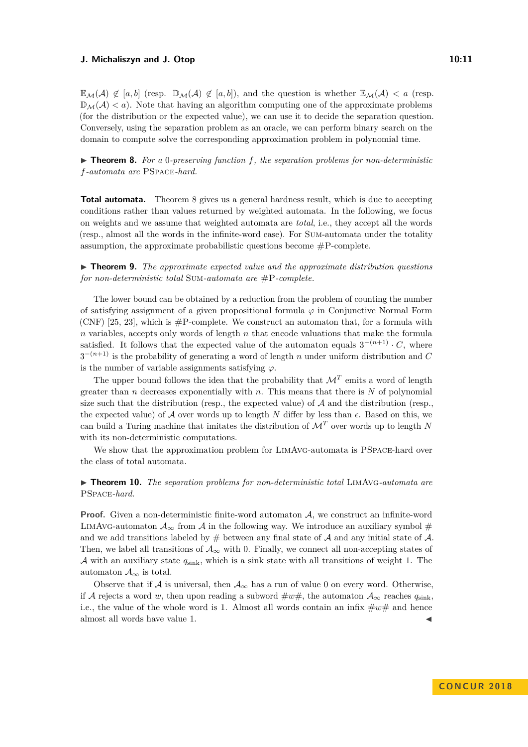$\mathbb{E}_{\mathcal{M}}(\mathcal{A}) \notin [a, b]$  (resp.  $\mathbb{D}_{\mathcal{M}}(\mathcal{A}) \notin [a, b]$ ), and the question is whether  $\mathbb{E}_{\mathcal{M}}(\mathcal{A}) < a$  (resp.  $\mathbb{D}_{\mathcal{M}}(\mathcal{A}) < a$ ). Note that having an algorithm computing one of the approximate problems (for the distribution or the expected value), we can use it to decide the separation question. Conversely, using the separation problem as an oracle, we can perform binary search on the domain to compute solve the corresponding approximation problem in polynomial time.

<span id="page-10-1"></span>I **Theorem 8.** *For a* 0*-preserving function f, the separation problems for non-deterministic f-automata are* PSpace*-hard.*

**Total automata.** Theorem [8](#page-10-1) gives us a general hardness result, which is due to accepting conditions rather than values returned by weighted automata. In the following, we focus on weights and we assume that weighted automata are *total*, i.e., they accept all the words (resp., almost all the words in the infinite-word case). For Sum-automata under the totality assumption, the approximate probabilistic questions become  $\#P$ -complete.

I **Theorem 9.** *The approximate expected value and the approximate distribution questions for non-deterministic total* Sum*-automata are* #P*-complete.*

The lower bound can be obtained by a reduction from the problem of counting the number of satisfying assignment of a given propositional formula  $\varphi$  in Conjunctive Normal Form (CNF) [\[25,](#page-15-11) [23\]](#page-15-12), which is  $\#P$ -complete. We construct an automaton that, for a formula with *n* variables, accepts only words of length *n* that encode valuations that make the formula satisfied. It follows that the expected value of the automaton equals  $3^{-(n+1)} \cdot C$ , where 3 <sup>−</sup>(*n*+1) is the probability of generating a word of length *n* under uniform distribution and *C* is the number of variable assignments satisfying  $\varphi$ .

The upper bound follows the idea that the probability that  $\mathcal{M}^T$  emits a word of length greater than *n* decreases exponentially with *n*. This means that there is *N* of polynomial size such that the distribution (resp., the expected value) of  $A$  and the distribution (resp. the expected value) of  $A$  over words up to length  $N$  differ by less than  $\epsilon$ . Based on this, we can build a Turing machine that imitates the distribution of  $\mathcal{M}^T$  over words up to length N with its non-deterministic computations.

We show that the approximation problem for LIMAVG-automata is PSPACE-hard over the class of total automata.

<span id="page-10-0"></span>▶ **Theorem 10.** *The separation problems for non-deterministic total* LIMAVG-automata are PSpace*-hard.*

**Proof.** Given a non-deterministic finite-word automaton A, we construct an infinite-word LIMAVG-automaton  $\mathcal{A}_{\infty}$  from A in the following way. We introduce an auxiliary symbol # and we add transitions labeled by  $#$  between any final state of  $A$  and any initial state of  $A$ . Then, we label all transitions of  $\mathcal{A}_{\infty}$  with 0. Finally, we connect all non-accepting states of A with an auxiliary state *q*sink, which is a sink state with all transitions of weight 1. The automaton  $\mathcal{A}_{\infty}$  is total.

Observe that if A is universal, then  $A_{\infty}$  has a run of value 0 on every word. Otherwise, if A rejects a word w, then upon reading a subword  $\#w\#$ , the automaton  $\mathcal{A}_{\infty}$  reaches  $q_{\text{sink}}$ , i.e., the value of the whole word is 1. Almost all words contain an infix  $\#w\#$  and hence almost all words have value 1.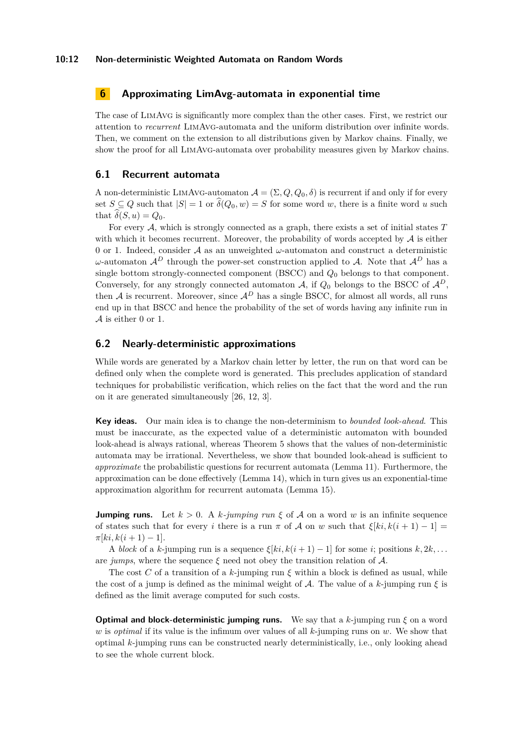# **6 Approximating LimAvg-automata in exponential time**

The case of LimAvg is significantly more complex than the other cases. First, we restrict our attention to *recurrent* LimAvg-automata and the uniform distribution over infinite words. Then, we comment on the extension to all distributions given by Markov chains. Finally, we show the proof for all LimAvg-automata over probability measures given by Markov chains.

## **6.1 Recurrent automata**

A non-deterministic LIMAVG-automaton  $\mathcal{A} = (\Sigma, Q, Q_0, \delta)$  is recurrent if and only if for every set  $S \subseteq Q$  such that  $|S| = 1$  or  $\hat{\delta}(Q_0, w) = S$  for some word *w*, there is a finite word *u* such that  $\widehat{\delta}(S, u) = Q_0$ .

For every A, which is strongly connected as a graph, there exists a set of initial states *T* with which it becomes recurrent. Moreover, the probability of words accepted by  $\mathcal A$  is either 0 or 1. Indeed, consider A as an unweighted *ω*-automaton and construct a deterministic *ω*-automaton  $\mathcal{A}^D$  through the power-set construction applied to A. Note that  $\mathcal{A}^D$  has a single bottom strongly-connected component (BSCC) and *Q*<sup>0</sup> belongs to that component. Conversely, for any strongly connected automaton  $A$ , if  $Q_0$  belongs to the BSCC of  $A<sup>D</sup>$ , then A is recurrent. Moreover, since  $\mathcal{A}^D$  has a single BSCC, for almost all words, all runs end up in that BSCC and hence the probability of the set of words having any infinite run in  ${\mathcal A}$  is either 0 or 1.

## **6.2 Nearly-deterministic approximations**

While words are generated by a Markov chain letter by letter, the run on that word can be defined only when the complete word is generated. This precludes application of standard techniques for probabilistic verification, which relies on the fact that the word and the run on it are generated simultaneously [\[26,](#page-15-5) [12,](#page-14-10) [3\]](#page-14-4).

**Key ideas.** Our main idea is to change the non-determinism to *bounded look-ahead*. This must be inaccurate, as the expected value of a deterministic automaton with bounded look-ahead is always rational, whereas Theorem [5](#page-8-0) shows that the values of non-deterministic automata may be irrational. Nevertheless, we show that bounded look-ahead is sufficient to *approximate* the probabilistic questions for recurrent automata (Lemma [11\)](#page-12-1). Furthermore, the approximation can be done effectively (Lemma [14\)](#page-13-1), which in turn gives us an exponential-time approximation algorithm for recurrent automata (Lemma [15\)](#page-13-2).

**Jumping runs.** Let  $k > 0$ . A  $k$ *-jumping run*  $\xi$  of A on a word w is an infinite sequence of states such that for every *i* there is a run  $\pi$  of A on w such that  $\xi[ki,k(i+1)-1] =$  $\pi[k_i, k(i+1) - 1].$ 

A *block* of a *k*-jumping run is a sequence  $\xi[k; k(i+1) - 1]$  for some *i*; positions  $k, 2k, \ldots$ are *jumps*, where the sequence  $\xi$  need not obey the transition relation of  $\mathcal{A}$ .

The cost *C* of a transition of a  $k$ -jumping run  $\xi$  within a block is defined as usual, while the cost of a jump is defined as the minimal weight of A. The value of a  $k$ -jumping run  $\xi$  is defined as the limit average computed for such costs.

**Optimal and block-deterministic jumping runs.** We say that a *k*-jumping run *ξ* on a word *w* is *optimal* if its value is the infimum over values of all *k*-jumping runs on *w*. We show that optimal *k*-jumping runs can be constructed nearly deterministically, i.e., only looking ahead to see the whole current block.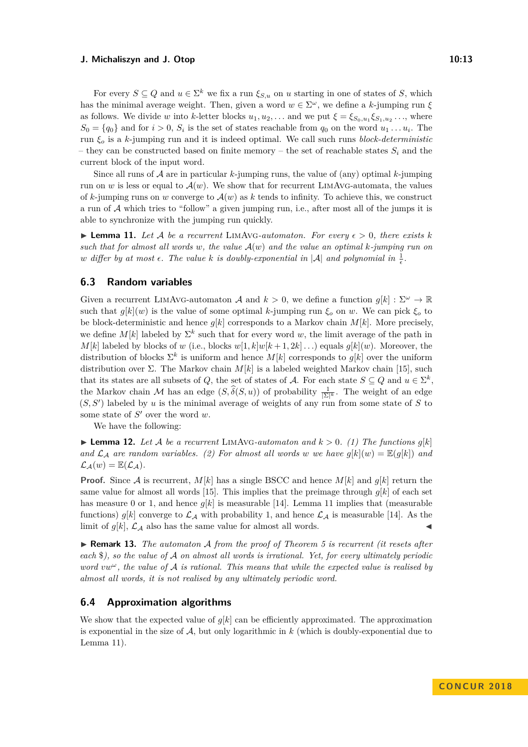For every  $S \subseteq Q$  and  $u \in \Sigma^k$  we fix a run  $\xi_{S,u}$  on  $u$  starting in one of states of *S*, which has the minimal average weight. Then, given a word  $w \in \Sigma^{\omega}$ , we define a *k*-jumping run  $\xi$ as follows. We divide *w* into *k*-letter blocks  $u_1, u_2, \ldots$  and we put  $\xi = \xi_{S_0, u_1} \xi_{S_1, u_2} \ldots$ , where  $S_0 = \{q_0\}$  and for  $i > 0$ ,  $S_i$  is the set of states reachable from  $q_0$  on the word  $u_1 \ldots u_i$ . The run *ξ<sup>o</sup>* is a *k*-jumping run and it is indeed optimal. We call such runs *block-deterministic* – they can be constructed based on finite memory – the set of reachable states  $S_i$  and the current block of the input word.

Since all runs of  $A$  are in particular  $k$ -jumping runs, the value of (any) optimal  $k$ -jumping run on *w* is less or equal to  $\mathcal{A}(w)$ . We show that for recurrent LIMAVG-automata, the values of  $k$ -jumping runs on *w* converge to  $\mathcal{A}(w)$  as  $k$  tends to infinity. To achieve this, we construct a run of  $A$  which tries to "follow" a given jumping run, i.e., after most all of the jumps it is able to synchronize with the jumping run quickly.

<span id="page-12-1"></span> $\blacktriangleright$  **Lemma 11.** Let A be a recurrent LIMAVG-automaton. For every  $\epsilon > 0$ , there exists k *such that for almost all words w, the value* A(*w*) *and the value an optimal k-jumping run on w* differ by at most  $\epsilon$ . The value  $k$  is doubly-exponential in  $|\mathcal{A}|$  and polynomial in  $\frac{1}{\epsilon}$ .

## **6.3 Random variables**

Given a recurrent LIMAVG-automaton A and  $k > 0$ , we define a function  $g[k] : \Sigma^{\omega} \to \mathbb{R}$ such that  $g[k](w)$  is the value of some optimal *k*-jumping run  $\xi_o$  on *w*. We can pick  $\xi_o$  to be block-deterministic and hence  $g[k]$  corresponds to a Markov chain  $M[k]$ . More precisely, we define  $M[k]$  labeled by  $\Sigma^k$  such that for every word w, the limit average of the path in *M*[*k*] labeled by blocks of *w* (i.e., blocks  $w[1, k]w[k+1, 2k] \dots$ ) equals  $q[k](w)$ . Moreover, the distribution of blocks  $\Sigma^k$  is uniform and hence  $M[k]$  corresponds to  $g[k]$  over the uniform distribution over Σ. The Markov chain *M*[*k*] is a labeled weighted Markov chain [\[15\]](#page-15-2), such that its states are all subsets of *Q*, the set of states of *A*. For each state  $S \subseteq Q$  and  $u \in \Sigma^k$ , the Markov chain M has an edge  $(S, \hat{\delta}(S, u))$  of probability  $\frac{1}{|\Sigma|^k}$ . The weight of an edge  $(S, S')$  labeled by *u* is the minimal average of weights of any run from some state of *S* to some state of  $S'$  over the word  $w$ .

We have the following:

 $\blacktriangleright$  **Lemma 12.** Let A be a recurrent LIMAVG-automaton and  $k > 0$ . (1) The functions  $g[k]$ *and*  $\mathcal{L}_\mathcal{A}$  *are random variables.* (2) For almost all words w we have  $g[k](w) = \mathbb{E}(g[k])$  and  $\mathcal{L}_{\mathcal{A}}(w) = \mathbb{E}(\mathcal{L}_{\mathcal{A}}).$ 

**Proof.** Since A is recurrent,  $M[k]$  has a single BSCC and hence  $M[k]$  and  $g[k]$  return the same value for almost all words [\[15\]](#page-15-2). This implies that the preimage through  $g[k]$  of each set has measure 0 or 1, and hence  $g[k]$  is measurable [\[14\]](#page-14-13). Lemma [11](#page-12-1) implies that (measurable functions)  $g[k]$  converge to  $\mathcal{L}_{\mathcal{A}}$  with probability 1, and hence  $\mathcal{L}_{\mathcal{A}}$  is measurable [\[14\]](#page-14-13). As the limit of  $g[k]$ ,  $\mathcal{L}_{\mathcal{A}}$  also has the same value for almost all words.

<span id="page-12-0"></span>I **Remark 13.** *The automaton* A *from the proof of Theorem [5](#page-8-0) is recurrent (it resets after each* \$*), so the value of* A *on almost all words is irrational. Yet, for every ultimately periodic word vw<sup>ω</sup>, the value of* A *is rational. This means that while the expected value is realised by almost all words, it is not realised by any ultimately periodic word.*

## **6.4 Approximation algorithms**

We show that the expected value of *g*[*k*] can be efficiently approximated. The approximation is exponential in the size of  $A$ , but only logarithmic in  $k$  (which is doubly-exponential due to Lemma [11\)](#page-12-1).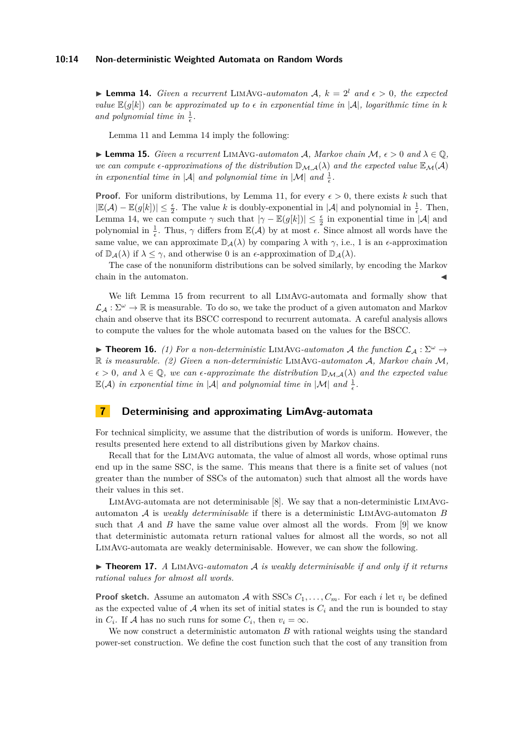#### **10:14 Non-deterministic Weighted Automata on Random Words**

<span id="page-13-1"></span> $\blacktriangleright$  **Lemma 14.** *Given a recurrent* LIMAVG-*automaton* A,  $k = 2^l$  *and*  $\epsilon > 0$ *, the expected value*  $\mathbb{E}(q[k])$  *can be approximated up to*  $\epsilon$  *in exponential time in* |A|*, logarithmic time in k* and polynomial time in  $\frac{1}{\epsilon}$ .

Lemma [11](#page-12-1) and Lemma [14](#page-13-1) imply the following:

<span id="page-13-2"></span>**► Lemma 15.** *Given a recurrent* LIMAVG-automaton A, Markov chain M,  $\epsilon$  > 0 and  $\lambda$  ∈  $\mathbb{O}$ . *we can compute*  $\epsilon$ -approximations of the distribution  $\mathbb{D}_{\mathcal{M},\mathcal{A}}(\lambda)$  and the expected value  $\mathbb{E}_{\mathcal{M}}(\mathcal{A})$ *in exponential time in*  $|\mathcal{A}|$  *and polynomial time in*  $|\mathcal{M}|$  *and*  $\frac{1}{\epsilon}$ .

**Proof.** For uniform distributions, by Lemma [11,](#page-12-1) for every  $\epsilon > 0$ , there exists k such that  $|\mathbb{E}(\mathcal{A}) - \mathbb{E}(g[k])|$  ≤  $\frac{\epsilon}{2}$ . The value *k* is doubly-exponential in |A| and polynomial in  $\frac{1}{\epsilon}$ . Then, Lemma [14,](#page-13-1) we can compute  $\gamma$  such that  $|\gamma - \mathbb{E}(g[k])| \leq \frac{\epsilon}{2}$  in exponential time in  $|\mathcal{A}|$  and polynomial in  $\frac{1}{\epsilon}$ . Thus,  $\gamma$  differs from  $\mathbb{E}(\mathcal{A})$  by at most  $\epsilon$ . Since almost all words have the same value, we can approximate  $\mathbb{D}_{\mathcal{A}}(\lambda)$  by comparing  $\lambda$  with  $\gamma$ , i.e., 1 is an  $\epsilon$ -approximation of  $\mathbb{D}_{\mathcal{A}}(\lambda)$  if  $\lambda \leq \gamma$ , and otherwise 0 is an  $\epsilon$ -approximation of  $\mathbb{D}_{\mathcal{A}}(\lambda)$ .

The case of the nonuniform distributions can be solved similarly, by encoding the Markov chain in the automaton.

We lift Lemma [15](#page-13-2) from recurrent to all LimAvg-automata and formally show that  $\mathcal{L}_A : \Sigma^\omega \to \mathbb{R}$  is measurable. To do so, we take the product of a given automaton and Markov chain and observe that its BSCC correspond to recurrent automata. A careful analysis allows to compute the values for the whole automata based on the values for the BSCC.

<span id="page-13-0"></span>**Findment 16.** *(1) For a non-deterministic* LIMAVG-automaton A the function  $\mathcal{L}_A : \Sigma^{\omega} \to$ R *is measurable. (2) Given a non-deterministic* LimAvg*-automaton* A*, Markov chain* M*,*  $\epsilon > 0$ , and  $\lambda \in \mathbb{Q}$ , we can  $\epsilon$ -approximate the distribution  $\mathbb{D}_{\mathcal{M},\mathcal{A}}(\lambda)$  and the expected value  $\mathbb{E}(\mathcal{A})$  *in exponential time in*  $|\mathcal{A}|$  *and polynomial time in*  $|\mathcal{M}|$  *and*  $\frac{1}{\epsilon}$ *.* 

# **7 Determinising and approximating LimAvg-automata**

For technical simplicity, we assume that the distribution of words is uniform. However, the results presented here extend to all distributions given by Markov chains.

Recall that for the LimAvg automata, the value of almost all words, whose optimal runs end up in the same SSC, is the same. This means that there is a finite set of values (not greater than the number of SSCs of the automaton) such that almost all the words have their values in this set.

LimAvg-automata are not determinisable [\[8\]](#page-14-1). We say that a non-deterministic LimAvgautomaton A is *weakly determinisable* if there is a deterministic LimAvg-automaton *B* such that *A* and *B* have the same value over almost all the words. From [\[9\]](#page-14-3) we know that deterministic automata return rational values for almost all the words, so not all LimAvg-automata are weakly determinisable. However, we can show the following.

<span id="page-13-3"></span> $\triangleright$  **Theorem 17.** *A* LIMAVG-automaton *A is weakly determinisable if and only if it returns rational values for almost all words.*

**Proof sketch.** Assume an automaton A with SSCs  $C_1, \ldots, C_m$ . For each *i* let  $v_i$  be defined as the expected value of  $A$  when its set of initial states is  $C_i$  and the run is bounded to stay in  $C_i$ . If A has no such runs for some  $C_i$ , then  $v_i = \infty$ .

We now construct a deterministic automaton *B* with rational weights using the standard power-set construction. We define the cost function such that the cost of any transition from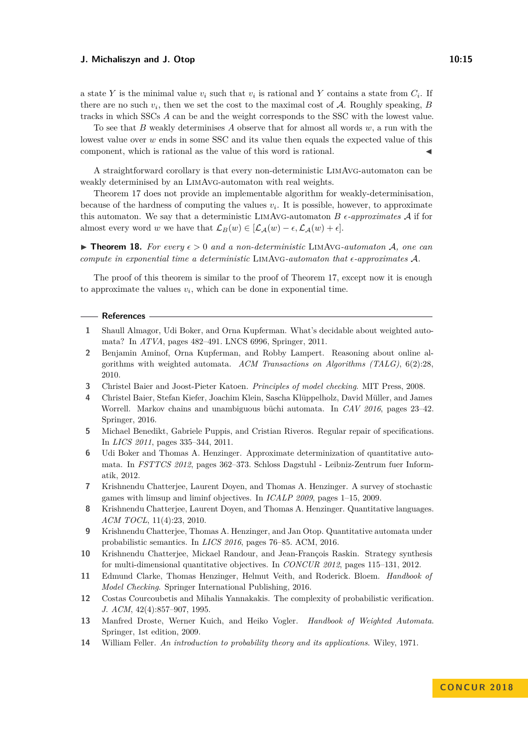a state *Y* is the minimal value  $v_i$  such that  $v_i$  is rational and *Y* contains a state from  $C_i$ . If there are no such  $v_i$ , then we set the cost to the maximal cost of  $A$ . Roughly speaking,  $B$ tracks in which SSCs *A* can be and the weight corresponds to the SSC with the lowest value.

To see that *B* weakly determinises *A* observe that for almost all words *w*, a run with the lowest value over *w* ends in some SSC and its value then equals the expected value of this component, which is rational as the value of this word is rational.

A straightforward corollary is that every non-deterministic LimAvg-automaton can be weakly determinised by an LimAvg-automaton with real weights.

Theorem [17](#page-13-3) does not provide an implementable algorithm for weakly-determinisation, because of the hardness of computing the values  $v_i$ . It is possible, however, to approximate this automaton. We say that a deterministic LIMAVG-automaton  $B \epsilon$ -approximates  $A$  if for almost every word *w* we have that  $\mathcal{L}_B(w) \in [\mathcal{L}_A(w) - \epsilon, \mathcal{L}_A(w) + \epsilon].$ 

<span id="page-14-8"></span>**Findmer 18.** For every  $\epsilon > 0$  and a non-deterministic LIMAVG-automaton A, one can *compute in exponential time a deterministic* LimAvg*-automaton that -approximates* A*.*

The proof of this theorem is similar to the proof of Theorem [17,](#page-13-3) except now it is enough to approximate the values  $v_i$ , which can be done in exponential time.

#### **References**

- <span id="page-14-14"></span>**1** Shaull Almagor, Udi Boker, and Orna Kupferman. What's decidable about weighted automata? In *ATVA*, pages 482–491. LNCS 6996, Springer, 2011.
- <span id="page-14-9"></span>**2** Benjamin Aminof, Orna Kupferman, and Robby Lampert. Reasoning about online algorithms with weighted automata. *ACM Transactions on Algorithms (TALG)*, 6(2):28, 2010.
- <span id="page-14-4"></span>**3** Christel Baier and Joost-Pieter Katoen. *Principles of model checking*. MIT Press, 2008.
- <span id="page-14-11"></span>**4** Christel Baier, Stefan Kiefer, Joachim Klein, Sascha Klüppelholz, David Müller, and James Worrell. Markov chains and unambiguous büchi automata. In *CAV 2016*, pages 23–42. Springer, 2016.
- <span id="page-14-6"></span>**5** Michael Benedikt, Gabriele Puppis, and Cristian Riveros. Regular repair of specifications. In *LICS 2011*, pages 335–344, 2011.
- <span id="page-14-12"></span>**6** Udi Boker and Thomas A. Henzinger. Approximate determinization of quantitative automata. In *FSTTCS 2012*, pages 362–373. Schloss Dagstuhl - Leibniz-Zentrum fuer Informatik, 2012.
- <span id="page-14-2"></span>**7** Krishnendu Chatterjee, Laurent Doyen, and Thomas A. Henzinger. A survey of stochastic games with limsup and liminf objectives. In *ICALP 2009*, pages 1–15, 2009.
- <span id="page-14-1"></span>**8** Krishnendu Chatterjee, Laurent Doyen, and Thomas A. Henzinger. Quantitative languages. *ACM TOCL*, 11(4):23, 2010.
- <span id="page-14-3"></span>**9** Krishnendu Chatterjee, Thomas A. Henzinger, and Jan Otop. Quantitative automata under probabilistic semantics. In *LICS 2016*, pages 76–85. ACM, 2016.
- <span id="page-14-5"></span>**10** Krishnendu Chatterjee, Mickael Randour, and Jean-François Raskin. Strategy synthesis for multi-dimensional quantitative objectives. In *CONCUR 2012*, pages 115–131, 2012.
- <span id="page-14-7"></span>**11** Edmund Clarke, Thomas Henzinger, Helmut Veith, and Roderick. Bloem. *Handbook of Model Checking*. Springer International Publishing, 2016.
- <span id="page-14-10"></span>**12** Costas Courcoubetis and Mihalis Yannakakis. The complexity of probabilistic verification. *J. ACM*, 42(4):857–907, 1995.
- <span id="page-14-0"></span>**13** Manfred Droste, Werner Kuich, and Heiko Vogler. *Handbook of Weighted Automata*. Springer, 1st edition, 2009.
- <span id="page-14-13"></span>**14** William Feller. *An introduction to probability theory and its applications*. Wiley, 1971.